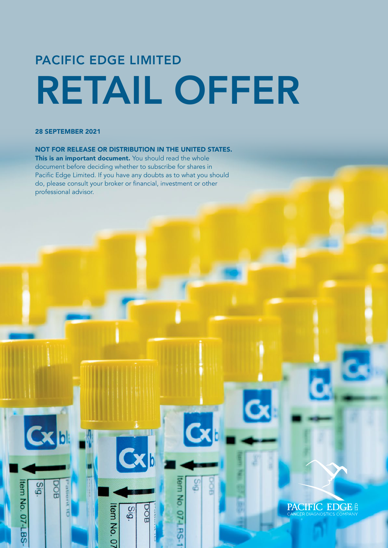# PACIFIC EDGE LIMITED RETAIL OFFER

#### 28 SEPTEMBER 2021

Cxb

**Gig** 

BOG

Item No. 07-LBS-

#### NOT FOR RELEASE OR DISTRIBUTION IN THE UNITED STATES.

This is an important document. You should read the whole document before deciding whether to subscribe for shares in Pacific Edge Limited. If you have any doubts as to what you should do, please consult your broker or financial, investment or other professional advisor.

**Cxb** 

**Bis** 

tem No. 07

BOO

6<sub>i</sub>c

tem No. 0

**PACIFIC EDGE &**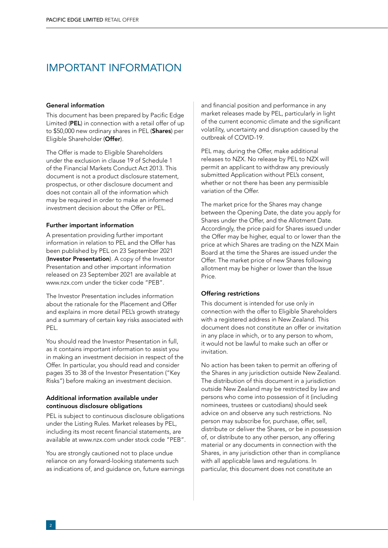## IMPORTANT INFORMATION

#### General information

This document has been prepared by Pacific Edge Limited (PEL) in connection with a retail offer of up to \$50,000 new ordinary shares in PEL (Shares) per Eligible Shareholder (Offer).

The Offer is made to Eligible Shareholders under the exclusion in clause 19 of Schedule 1 of the Financial Markets Conduct Act 2013. This document is not a product disclosure statement, prospectus, or other disclosure document and does not contain all of the information which may be required in order to make an informed investment decision about the Offer or PEL.

#### Further important information

A presentation providing further important information in relation to PEL and the Offer has been published by PEL on 23 September 2021 (Investor Presentation). A copy of the Investor Presentation and other important information released on 23 September 2021 are available at www.nzx.com under the ticker code "PEB".

The Investor Presentation includes information about the rationale for the Placement and Offer and explains in more detail PEL's growth strategy and a summary of certain key risks associated with PEL.

You should read the Investor Presentation in full, as it contains important information to assist you in making an investment decision in respect of the Offer. In particular, you should read and consider pages 35 to 38 of the Investor Presentation ("Key Risks") before making an investment decision.

#### Additional information available under continuous disclosure obligations

PEL is subject to continuous disclosure obligations under the Listing Rules. Market releases by PEL, including its most recent financial statements, are available at www.nzx.com under stock code "PEB".

You are strongly cautioned not to place undue reliance on any forward-looking statements such as indications of, and guidance on, future earnings and financial position and performance in any market releases made by PEL, particularly in light of the current economic climate and the significant volatility, uncertainty and disruption caused by the outbreak of COVID-19.

PEL may, during the Offer, make additional releases to NZX. No release by PEL to NZX will permit an applicant to withdraw any previously submitted Application without PEL's consent, whether or not there has been any permissible variation of the Offer.

The market price for the Shares may change between the Opening Date, the date you apply for Shares under the Offer, and the Allotment Date. Accordingly, the price paid for Shares issued under the Offer may be higher, equal to or lower than the price at which Shares are trading on the NZX Main Board at the time the Shares are issued under the Offer. The market price of new Shares following allotment may be higher or lower than the Issue Price.

#### Offering restrictions

This document is intended for use only in connection with the offer to Eligible Shareholders with a registered address in New Zealand. This document does not constitute an offer or invitation in any place in which, or to any person to whom, it would not be lawful to make such an offer or invitation.

No action has been taken to permit an offering of the Shares in any jurisdiction outside New Zealand. The distribution of this document in a jurisdiction outside New Zealand may be restricted by law and persons who come into possession of it (including nominees, trustees or custodians) should seek advice on and observe any such restrictions. No person may subscribe for, purchase, offer, sell, distribute or deliver the Shares, or be in possession of, or distribute to any other person, any offering material or any documents in connection with the Shares, in any jurisdiction other than in compliance with all applicable laws and regulations. In particular, this document does not constitute an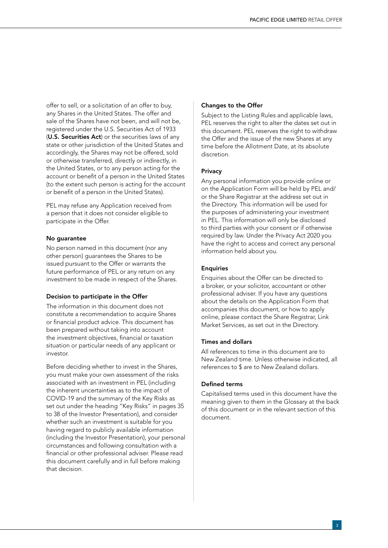offer to sell, or a solicitation of an offer to buy, any Shares in the United States. The offer and sale of the Shares have not been, and will not be, registered under the U.S. Securities Act of 1933 (U.S. Securities Act) or the securities laws of any state or other jurisdiction of the United States and accordingly, the Shares may not be offered, sold or otherwise transferred, directly or indirectly, in the United States, or to any person acting for the account or benefit of a person in the United States (to the extent such person is acting for the account or benefit of a person in the United States).

PEL may refuse any Application received from a person that it does not consider eligible to participate in the Offer.

#### No guarantee

No person named in this document (nor any other person) guarantees the Shares to be issued pursuant to the Offer or warrants the future performance of PEL or any return on any investment to be made in respect of the Shares.

#### Decision to participate in the Offer

The information in this document does not constitute a recommendation to acquire Shares or financial product advice. This document has been prepared without taking into account the investment objectives, financial or taxation situation or particular needs of any applicant or investor.

Before deciding whether to invest in the Shares, you must make your own assessment of the risks associated with an investment in PEL (including the inherent uncertainties as to the impact of COVID-19 and the summary of the Key Risks as set out under the heading "Key Risks" in pages 35 to 38 of the Investor Presentation), and consider whether such an investment is suitable for you having regard to publicly available information (including the Investor Presentation), your personal circumstances and following consultation with a financial or other professional adviser. Please read this document carefully and in full before making that decision.

#### Changes to the Offer

Subject to the Listing Rules and applicable laws, PEL reserves the right to alter the dates set out in this document. PEL reserves the right to withdraw the Offer and the issue of the new Shares at any time before the Allotment Date, at its absolute discretion.

#### Privacy

Any personal information you provide online or on the Application Form will be held by PEL and/ or the Share Registrar at the address set out in the Directory. This information will be used for the purposes of administering your investment in PEL. This information will only be disclosed to third parties with your consent or if otherwise required by law. Under the Privacy Act 2020 you have the right to access and correct any personal information held about you.

#### **Enquiries**

Enquiries about the Offer can be directed to a broker, or your solicitor, accountant or other professional adviser. If you have any questions about the details on the Application Form that accompanies this document, or how to apply online, please contact the Share Registrar, Link Market Services, as set out in the Directory.

#### Times and dollars

All references to time in this document are to New Zealand time. Unless otherwise indicated, all references to \$ are to New Zealand dollars.

#### Defined terms

Capitalised terms used in this document have the meaning given to them in the Glossary at the back of this document or in the relevant section of this document.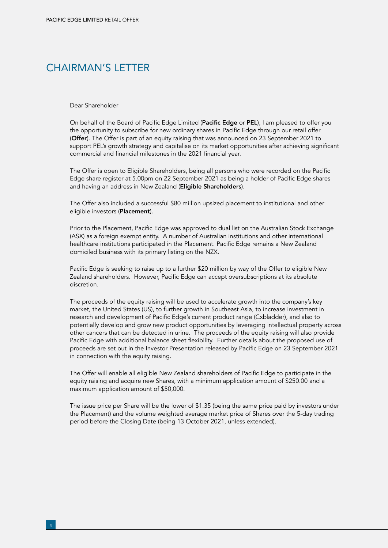## CHAIRMAN'S LETTER

Dear Shareholder

On behalf of the Board of Pacific Edge Limited (Pacific Edge or PEL), I am pleased to offer you the opportunity to subscribe for new ordinary shares in Pacific Edge through our retail offer (Offer). The Offer is part of an equity raising that was announced on 23 September 2021 to support PEL's growth strategy and capitalise on its market opportunities after achieving significant commercial and financial milestones in the 2021 financial year.

The Offer is open to Eligible Shareholders, being all persons who were recorded on the Pacific Edge share register at 5.00pm on 22 September 2021 as being a holder of Pacific Edge shares and having an address in New Zealand (Eligible Shareholders).

The Offer also included a successful \$80 million upsized placement to institutional and other eligible investors (Placement).

Prior to the Placement, Pacific Edge was approved to dual list on the Australian Stock Exchange (ASX) as a foreign exempt entity. A number of Australian institutions and other international healthcare institutions participated in the Placement. Pacific Edge remains a New Zealand domiciled business with its primary listing on the NZX.

Pacific Edge is seeking to raise up to a further \$20 million by way of the Offer to eligible New Zealand shareholders. However, Pacific Edge can accept oversubscriptions at its absolute discretion.

The proceeds of the equity raising will be used to accelerate growth into the company's key market, the United States (US), to further growth in Southeast Asia, to increase investment in research and development of Pacific Edge's current product range (Cxbladder), and also to potentially develop and grow new product opportunities by leveraging intellectual property across other cancers that can be detected in urine. The proceeds of the equity raising will also provide Pacific Edge with additional balance sheet flexibility. Further details about the proposed use of proceeds are set out in the Investor Presentation released by Pacific Edge on 23 September 2021 in connection with the equity raising.

The Offer will enable all eligible New Zealand shareholders of Pacific Edge to participate in the equity raising and acquire new Shares, with a minimum application amount of \$250.00 and a maximum application amount of \$50,000.

The issue price per Share will be the lower of \$1.35 (being the same price paid by investors under the Placement) and the volume weighted average market price of Shares over the 5-day trading period before the Closing Date (being 13 October 2021, unless extended).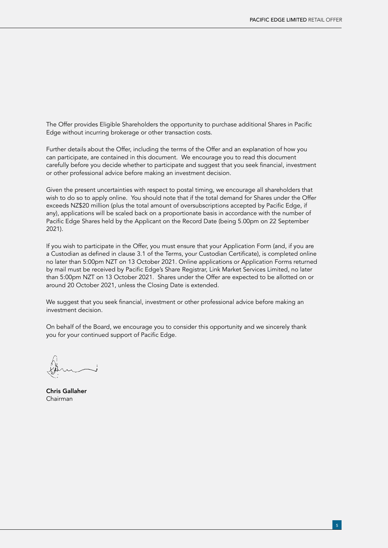The Offer provides Eligible Shareholders the opportunity to purchase additional Shares in Pacific Edge without incurring brokerage or other transaction costs.

Further details about the Offer, including the terms of the Offer and an explanation of how you can participate, are contained in this document. We encourage you to read this document carefully before you decide whether to participate and suggest that you seek financial, investment or other professional advice before making an investment decision.

Given the present uncertainties with respect to postal timing, we encourage all shareholders that wish to do so to apply online. You should note that if the total demand for Shares under the Offer exceeds NZ\$20 million (plus the total amount of oversubscriptions accepted by Pacific Edge, if any), applications will be scaled back on a proportionate basis in accordance with the number of Pacific Edge Shares held by the Applicant on the Record Date (being 5.00pm on 22 September 2021).

If you wish to participate in the Offer, you must ensure that your Application Form (and, if you are a Custodian as defined in clause 3.1 of the Terms, your Custodian Certificate), is completed online no later than 5:00pm NZT on 13 October 2021. Online applications or Application Forms returned by mail must be received by Pacific Edge's Share Registrar, Link Market Services Limited, no later than 5:00pm NZT on 13 October 2021. Shares under the Offer are expected to be allotted on or around 20 October 2021, unless the Closing Date is extended.

We suggest that you seek financial, investment or other professional advice before making an investment decision.

On behalf of the Board, we encourage you to consider this opportunity and we sincerely thank you for your continued support of Pacific Edge.

Chris Gallaher Chairman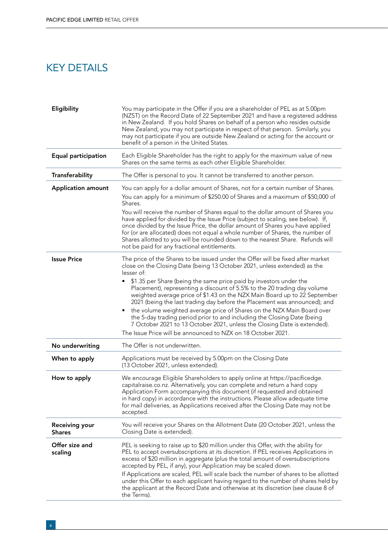# KEY DETAILS

| Eligibility                            | You may participate in the Offer if you are a shareholder of PEL as at 5.00pm<br>(NZST) on the Record Date of 22 September 2021 and have a registered address<br>in New Zealand. If you hold Shares on behalf of a person who resides outside<br>New Zealand, you may not participate in respect of that person. Similarly, you<br>may not participate if you are outside New Zealand or acting for the account or<br>benefit of a person in the United States.                                                                                                                                             |  |
|----------------------------------------|-------------------------------------------------------------------------------------------------------------------------------------------------------------------------------------------------------------------------------------------------------------------------------------------------------------------------------------------------------------------------------------------------------------------------------------------------------------------------------------------------------------------------------------------------------------------------------------------------------------|--|
| <b>Equal participation</b>             | Each Eligible Shareholder has the right to apply for the maximum value of new<br>Shares on the same terms as each other Eligible Shareholder.                                                                                                                                                                                                                                                                                                                                                                                                                                                               |  |
| Transferability                        | The Offer is personal to you. It cannot be transferred to another person.                                                                                                                                                                                                                                                                                                                                                                                                                                                                                                                                   |  |
| <b>Application amount</b>              | You can apply for a dollar amount of Shares, not for a certain number of Shares.<br>You can apply for a minimum of \$250.00 of Shares and a maximum of \$50,000 of<br>Shares.                                                                                                                                                                                                                                                                                                                                                                                                                               |  |
|                                        | You will receive the number of Shares equal to the dollar amount of Shares you<br>have applied for divided by the Issue Price (subject to scaling, see below). If,<br>once divided by the Issue Price, the dollar amount of Shares you have applied<br>for (or are allocated) does not equal a whole number of Shares, the number of<br>Shares allotted to you will be rounded down to the nearest Share. Refunds will<br>not be paid for any fractional entitlements.                                                                                                                                      |  |
| <b>Issue Price</b>                     | The price of the Shares to be issued under the Offer will be fixed after market<br>close on the Closing Date (being 13 October 2021, unless extended) as the<br>lesser of:                                                                                                                                                                                                                                                                                                                                                                                                                                  |  |
|                                        | \$1.35 per Share (being the same price paid by investors under the<br>Placement), representing a discount of 5.5% to the 20 trading day volume<br>weighted average price of \$1.43 on the NZX Main Board up to 22 September<br>2021 (being the last trading day before the Placement was announced); and                                                                                                                                                                                                                                                                                                    |  |
|                                        | the volume weighted average price of Shares on the NZX Main Board over<br>٠<br>the 5-day trading period prior to and including the Closing Date (being<br>7 October 2021 to 13 October 2021, unless the Closing Date is extended).<br>The Issue Price will be announced to NZX on 18 October 2021.                                                                                                                                                                                                                                                                                                          |  |
| No underwriting                        | The Offer is not underwritten.                                                                                                                                                                                                                                                                                                                                                                                                                                                                                                                                                                              |  |
| When to apply                          | Applications must be received by 5.00pm on the Closing Date<br>(13 October 2021, unless extended).                                                                                                                                                                                                                                                                                                                                                                                                                                                                                                          |  |
| How to apply                           | We encourage Eligible Shareholders to apply online at https://pacificedge.<br>capitalraise.co.nz. Alternatively, you can complete and return a hard copy<br>Application Form accompanying this document (if requested and obtained<br>in hard copy) in accordance with the instructions. Please allow adequate time<br>for mail deliveries, as Applications received after the Closing Date may not be<br>accepted.                                                                                                                                                                                         |  |
| <b>Receiving your</b><br><b>Shares</b> | You will receive your Shares on the Allotment Date (20 October 2021, unless the<br>Closing Date is extended).                                                                                                                                                                                                                                                                                                                                                                                                                                                                                               |  |
| Offer size and<br>scaling              | PEL is seeking to raise up to \$20 million under this Offer, with the ability for<br>PEL to accept oversubscriptions at its discretion. If PEL receives Applications in<br>excess of \$20 million in aggregate (plus the total amount of oversubscriptions<br>accepted by PEL, if any), your Application may be scaled down.<br>If Applications are scaled, PEL will scale back the number of shares to be allotted<br>under this Offer to each applicant having regard to the number of shares held by<br>the applicant at the Record Date and otherwise at its discretion (see clause 8 of<br>the Terms). |  |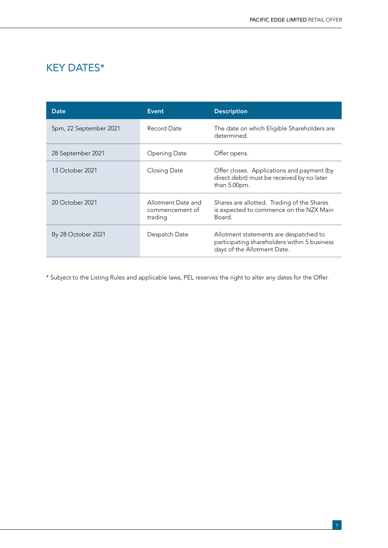# KEY DATES\*

| Date                   | Event                                            | <b>Description</b>                                                                                                    |
|------------------------|--------------------------------------------------|-----------------------------------------------------------------------------------------------------------------------|
| 5pm, 22 September 2021 | Record Date                                      | The date on which Eligible Shareholders are<br>determined.                                                            |
| 28 September 2021      | Opening Date                                     | Offer opens.                                                                                                          |
| 13 October 2021        | Closing Date                                     | Offer closes. Applications and payment (by<br>direct debit) must be received by no later<br>than 5.00pm.              |
| 20 October 2021        | Allotment Date and<br>commencement of<br>trading | Shares are allotted. Trading of the Shares<br>is expected to commence on the NZX Main<br>Board.                       |
| By 28 October 2021     | Despatch Date                                    | Allotment statements are despatched to<br>participating shareholders within 5 business<br>days of the Allotment Date. |

\* Subject to the Listing Rules and applicable laws, PEL reserves the right to alter any dates for the Offer.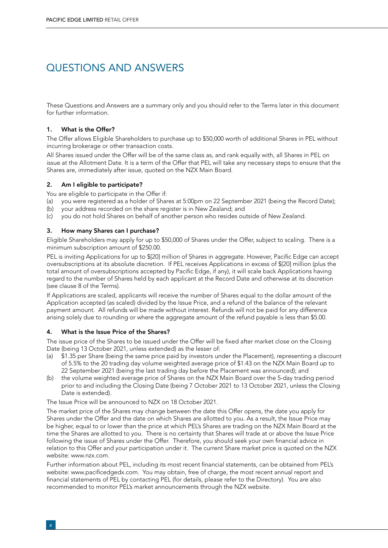# QUESTIONS AND ANSWERS

These Questions and Answers are a summary only and you should refer to the Terms later in this document for further information.

#### 1. What is the Offer?

The Offer allows Eligible Shareholders to purchase up to \$50,000 worth of additional Shares in PEL without incurring brokerage or other transaction costs.

All Shares issued under the Offer will be of the same class as, and rank equally with, all Shares in PEL on issue at the Allotment Date. It is a term of the Offer that PEL will take any necessary steps to ensure that the Shares are, immediately after issue, quoted on the NZX Main Board.

#### 2. Am I eligible to participate?

You are eligible to participate in the Offer if:

- (a) you were registered as a holder of Shares at 5:00pm on 22 September 2021 (being the Record Date);
- (b) your address recorded on the share register is in New Zealand; and
- (c) you do not hold Shares on behalf of another person who resides outside of New Zealand.

#### 3. How many Shares can I purchase?

Eligible Shareholders may apply for up to \$50,000 of Shares under the Offer, subject to scaling. There is a minimum subscription amount of \$250.00.

PEL is inviting Applications for up to \$[20] million of Shares in aggregate. However, Pacific Edge can accept oversubscriptions at its absolute discretion. If PEL receives Applications in excess of \$[20] million (plus the total amount of oversubscriptions accepted by Pacific Edge, if any), it will scale back Applications having regard to the number of Shares held by each applicant at the Record Date and otherwise at its discretion (see clause 8 of the Terms).

If Applications are scaled, applicants will receive the number of Shares equal to the dollar amount of the Application accepted (as scaled) divided by the Issue Price, and a refund of the balance of the relevant payment amount. All refunds will be made without interest. Refunds will not be paid for any difference arising solely due to rounding or where the aggregate amount of the refund payable is less than \$5.00.

#### 4. What is the Issue Price of the Shares?

The issue price of the Shares to be issued under the Offer will be fixed after market close on the Closing Date (being 13 October 2021, unless extended) as the lesser of:

- (a) \$1.35 per Share (being the same price paid by investors under the Placement), representing a discount of 5.5% to the 20 trading day volume weighted average price of \$1.43 on the NZX Main Board up to 22 September 2021 (being the last trading day before the Placement was announced); and
- the volume weighted average price of Shares on the NZX Main Board over the 5-day trading period prior to and including the Closing Date (being 7 October 2021 to 13 October 2021, unless the Closing Date is extended).

The Issue Price will be announced to NZX on 18 October 2021.

The market price of the Shares may change between the date this Offer opens, the date you apply for Shares under the Offer and the date on which Shares are allotted to you. As a result, the Issue Price may be higher, equal to or lower than the price at which PEL's Shares are trading on the NZX Main Board at the time the Shares are allotted to you. There is no certainty that Shares will trade at or above the Issue Price following the issue of Shares under the Offer. Therefore, you should seek your own financial advice in relation to this Offer and your participation under it. The current Share market price is quoted on the NZX website: www.nzx.com.

Further information about PEL, including its most recent financial statements, can be obtained from PEL's website: www.pacificedgedx.com. You may obtain, free of charge, the most recent annual report and financial statements of PEL by contacting PEL (for details, please refer to the Directory). You are also recommended to monitor PEL's market announcements through the NZX website.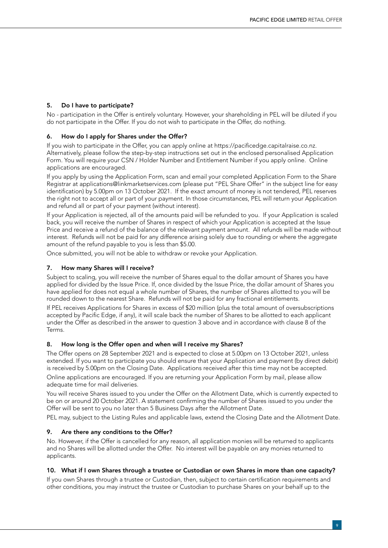#### 5. Do I have to participate?

No - participation in the Offer is entirely voluntary. However, your shareholding in PEL will be diluted if you do not participate in the Offer. If you do not wish to participate in the Offer, do nothing.

#### 6. How do I apply for Shares under the Offer?

If you wish to participate in the Offer, you can apply online at https://pacificedge.capitalraise.co.nz. Alternatively, please follow the step-by-step instructions set out in the enclosed personalised Application Form. You will require your CSN / Holder Number and Entitlement Number if you apply online. Online applications are encouraged.

If you apply by using the Application Form, scan and email your completed Application Form to the Share Registrar at applications@linkmarketservices.com (please put "PEL Share Offer" in the subject line for easy identification) by 5.00pm on 13 October 2021. If the exact amount of money is not tendered, PEL reserves the right not to accept all or part of your payment. In those circumstances, PEL will return your Application and refund all or part of your payment (without interest).

If your Application is rejected, all of the amounts paid will be refunded to you. If your Application is scaled back, you will receive the number of Shares in respect of which your Application is accepted at the Issue Price and receive a refund of the balance of the relevant payment amount. All refunds will be made without interest. Refunds will not be paid for any difference arising solely due to rounding or where the aggregate amount of the refund payable to you is less than \$5.00.

Once submitted, you will not be able to withdraw or revoke your Application.

#### 7. How many Shares will I receive?

Subject to scaling, you will receive the number of Shares equal to the dollar amount of Shares you have applied for divided by the Issue Price. If, once divided by the Issue Price, the dollar amount of Shares you have applied for does not equal a whole number of Shares, the number of Shares allotted to you will be rounded down to the nearest Share. Refunds will not be paid for any fractional entitlements.

If PEL receives Applications for Shares in excess of \$20 million (plus the total amount of oversubscriptions accepted by Pacific Edge, if any), it will scale back the number of Shares to be allotted to each applicant under the Offer as described in the answer to question 3 above and in accordance with clause 8 of the Terms.

#### 8. How long is the Offer open and when will I receive my Shares?

The Offer opens on 28 September 2021 and is expected to close at 5.00pm on 13 October 2021, unless extended. If you want to participate you should ensure that your Application and payment (by direct debit) is received by 5.00pm on the Closing Date. Applications received after this time may not be accepted.

Online applications are encouraged. If you are returning your Application Form by mail, please allow adequate time for mail deliveries.

You will receive Shares issued to you under the Offer on the Allotment Date, which is currently expected to be on or around 20 October 2021. A statement confirming the number of Shares issued to you under the Offer will be sent to you no later than 5 Business Days after the Allotment Date.

PEL may, subject to the Listing Rules and applicable laws, extend the Closing Date and the Allotment Date.

#### 9. Are there any conditions to the Offer?

No. However, if the Offer is cancelled for any reason, all application monies will be returned to applicants and no Shares will be allotted under the Offer. No interest will be payable on any monies returned to applicants.

#### 10. What if I own Shares through a trustee or Custodian or own Shares in more than one capacity?

If you own Shares through a trustee or Custodian, then, subject to certain certification requirements and other conditions, you may instruct the trustee or Custodian to purchase Shares on your behalf up to the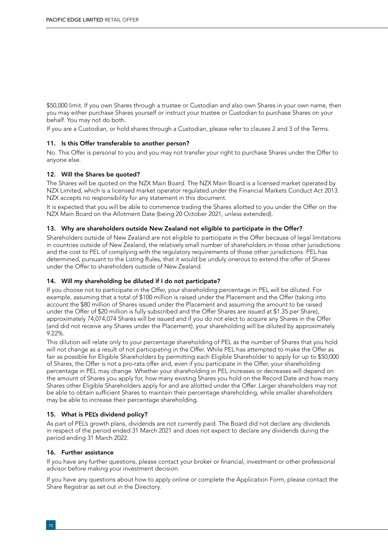\$50,000 limit. If you own Shares through a trustee or Custodian and also own Shares in your own name, then you may either purchase Shares yourself or instruct your trustee or Custodian to purchase Shares on your behalf. You may not do both.

If you are a Custodian, or hold shares through a Custodian, please refer to clauses 2 and 3 of the Terms.

#### 11. Is this Offer transferable to another person?

No. This Offer is personal to you and you may not transfer your right to purchase Shares under the Offer to anyone else.

#### 12. Will the Shares be quoted?

The Shares will be quoted on the NZX Main Board. The NZX Main Board is a licensed market operated by NZX Limited, which is a licensed market operator regulated under the Financial Markets Conduct Act 2013. NZX accepts no responsibility for any statement in this document.

It is expected that you will be able to commence trading the Shares allotted to you under the Offer on the NZX Main Board on the Allotment Date (being 20 October 2021, unless extended).

#### 13. Why are shareholders outside New Zealand not eligible to participate in the Offer?

Shareholders outside of New Zealand are not eligible to participate in the Offer because of legal limitations in countries outside of New Zealand, the relatively small number of shareholders in those other jurisdictions and the cost to PEL of complying with the regulatory requirements of those other jurisdictions. PEL has determined, pursuant to the Listing Rules, that it would be unduly onerous to extend the offer of Shares under the Offer to shareholders outside of New Zealand.

#### 14. Will my shareholding be diluted if I do not participate?

If you choose not to participate in the Offer, your shareholding percentage in PEL will be diluted. For example, assuming that a total of \$100 million is raised under the Placement and the Offer (taking into account the \$80 million of Shares issued under the Placement and assuming the amount to be raised under the Offer of \$20 million is fully subscribed and the Offer Shares are issued at \$1.35 per Share), approximately 74,074,074 Shares will be issued and if you do not elect to acquire any Shares in the Offer (and did not receive any Shares under the Placement), your shareholding will be diluted by approximately 9.22%.

This dilution will relate only to your percentage shareholding of PEL as the number of Shares that you hold will not change as a result of not participating in the Offer. While PEL has attempted to make the Offer as fair as possible for Eligible Shareholders by permitting each Eligible Shareholder to apply for up to \$50,000 of Shares, the Offer is not a pro-rata offer and, even if you participate in the Offer, your shareholding percentage in PEL may change. Whether your shareholding in PEL increases or decreases will depend on the amount of Shares you apply for, how many existing Shares you hold on the Record Date and how many Shares other Eligible Shareholders apply for and are allotted under the Offer. Larger shareholders may not be able to obtain sufficient Shares to maintain their percentage shareholding, while smaller shareholders may be able to increase their percentage shareholding.

#### 15. What is PEL's dividend policy?

As part of PEL's growth plans, dividends are not currently paid. The Board did not declare any dividends in respect of the period ended 31 March 2021 and does not expect to declare any dividends during the period ending 31 March 2022.

#### 16. Further assistance

If you have any further questions, please contact your broker or financial, investment or other professional advisor before making your investment decision.

If you have any questions about how to apply online or complete the Application Form, please contact the Share Registrar as set out in the Directory.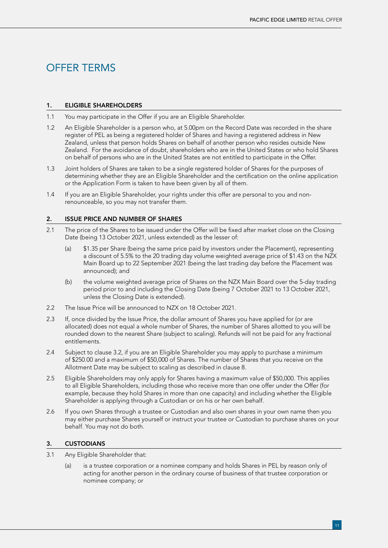# OFFER TERMS

#### 1. ELIGIBLE SHAREHOLDERS

- 1.1 You may participate in the Offer if you are an Eligible Shareholder.
- 1.2 An Eligible Shareholder is a person who, at 5.00pm on the Record Date was recorded in the share register of PEL as being a registered holder of Shares and having a registered address in New Zealand, unless that person holds Shares on behalf of another person who resides outside New Zealand. For the avoidance of doubt, shareholders who are in the United States or who hold Shares on behalf of persons who are in the United States are not entitled to participate in the Offer.
- 1.3 Joint holders of Shares are taken to be a single registered holder of Shares for the purposes of determining whether they are an Eligible Shareholder and the certification on the online application or the Application Form is taken to have been given by all of them.
- 1.4 If you are an Eligible Shareholder, your rights under this offer are personal to you and nonrenounceable, so you may not transfer them.

#### 2. ISSUE PRICE AND NUMBER OF SHARES

- 2.1 The price of the Shares to be issued under the Offer will be fixed after market close on the Closing Date (being 13 October 2021, unless extended) as the lesser of:
	- (a) \$1.35 per Share (being the same price paid by investors under the Placement), representing a discount of 5.5% to the 20 trading day volume weighted average price of \$1.43 on the NZX Main Board up to 22 September 2021 (being the last trading day before the Placement was announced); and
	- (b) the volume weighted average price of Shares on the NZX Main Board over the 5-day trading period prior to and including the Closing Date (being 7 October 2021 to 13 October 2021, unless the Closing Date is extended).
- 2.2 The Issue Price will be announced to NZX on 18 October 2021.
- 2.3 If, once divided by the Issue Price, the dollar amount of Shares you have applied for (or are allocated) does not equal a whole number of Shares, the number of Shares allotted to you will be rounded down to the nearest Share (subject to scaling). Refunds will not be paid for any fractional entitlements.
- 2.4 Subject to clause 3.2, if you are an Eligible Shareholder you may apply to purchase a minimum of \$250.00 and a maximum of \$50,000 of Shares. The number of Shares that you receive on the Allotment Date may be subject to scaling as described in clause 8.
- 2.5 Eligible Shareholders may only apply for Shares having a maximum value of \$50,000. This applies to all Eligible Shareholders, including those who receive more than one offer under the Offer (for example, because they hold Shares in more than one capacity) and including whether the Eligible Shareholder is applying through a Custodian or on his or her own behalf.
- 2.6 If you own Shares through a trustee or Custodian and also own shares in your own name then you may either purchase Shares yourself or instruct your trustee or Custodian to purchase shares on your behalf. You may not do both.

#### 3. CUSTODIANS

- 3.1 Any Eligible Shareholder that:
	- (a) is a trustee corporation or a nominee company and holds Shares in PEL by reason only of acting for another person in the ordinary course of business of that trustee corporation or nominee company; or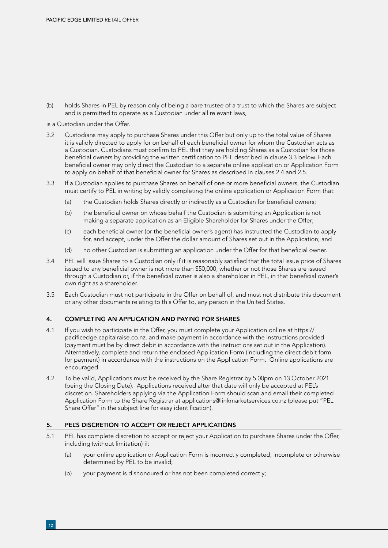(b) holds Shares in PEL by reason only of being a bare trustee of a trust to which the Shares are subject and is permitted to operate as a Custodian under all relevant laws,

is a Custodian under the Offer.

- 3.2 Custodians may apply to purchase Shares under this Offer but only up to the total value of Shares it is validly directed to apply for on behalf of each beneficial owner for whom the Custodian acts as a Custodian. Custodians must confirm to PEL that they are holding Shares as a Custodian for those beneficial owners by providing the written certification to PEL described in clause 3.3 below. Each beneficial owner may only direct the Custodian to a separate online application or Application Form to apply on behalf of that beneficial owner for Shares as described in clauses 2.4 and 2.5.
- 3.3 If a Custodian applies to purchase Shares on behalf of one or more beneficial owners, the Custodian must certify to PEL in writing by validly completing the online application or Application Form that:
	- (a) the Custodian holds Shares directly or indirectly as a Custodian for beneficial owners;
	- (b) the beneficial owner on whose behalf the Custodian is submitting an Application is not making a separate application as an Eligible Shareholder for Shares under the Offer;
	- (c) each beneficial owner (or the beneficial owner's agent) has instructed the Custodian to apply for, and accept, under the Offer the dollar amount of Shares set out in the Application; and
	- (d) no other Custodian is submitting an application under the Offer for that beneficial owner.
- 3.4 PEL will issue Shares to a Custodian only if it is reasonably satisfied that the total issue price of Shares issued to any beneficial owner is not more than \$50,000, whether or not those Shares are issued through a Custodian or, if the beneficial owner is also a shareholder in PEL, in that beneficial owner's own right as a shareholder.
- 3.5 Each Custodian must not participate in the Offer on behalf of, and must not distribute this document or any other documents relating to this Offer to, any person in the United States.

#### 4. COMPLETING AN APPLICATION AND PAYING FOR SHARES

- 4.1 If you wish to participate in the Offer, you must complete your Application online at https:// pacificedge.capitalraise.co.nz. and make payment in accordance with the instructions provided (payment must be by direct debit in accordance with the instructions set out in the Application). Alternatively, complete and return the enclosed Application Form (including the direct debit form for payment) in accordance with the instructions on the Application Form. Online applications are encouraged.
- 4.2 To be valid, Applications must be received by the Share Registrar by 5.00pm on 13 October 2021 (being the Closing Date). Applications received after that date will only be accepted at PEL's discretion. Shareholders applying via the Application Form should scan and email their completed Application Form to the Share Registrar at applications@linkmarketservices.co.nz (please put "PEL Share Offer" in the subject line for easy identification).

#### 5. PEL'S DISCRETION TO ACCEPT OR REJECT APPLICATIONS

- 5.1 PEL has complete discretion to accept or reject your Application to purchase Shares under the Offer, including (without limitation) if:
	- (a) your online application or Application Form is incorrectly completed, incomplete or otherwise determined by PEL to be invalid;
	- (b) your payment is dishonoured or has not been completed correctly;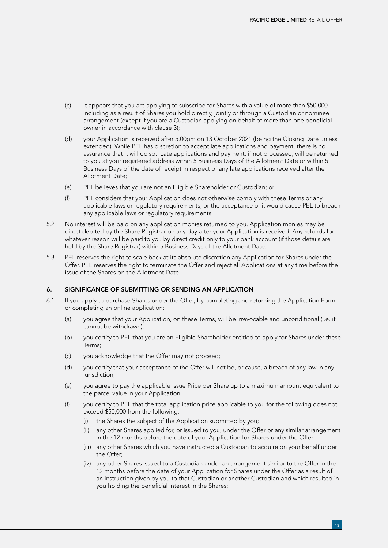- (c) it appears that you are applying to subscribe for Shares with a value of more than \$50,000 including as a result of Shares you hold directly, jointly or through a Custodian or nominee arrangement (except if you are a Custodian applying on behalf of more than one beneficial owner in accordance with clause 3);
- (d) your Application is received after 5.00pm on 13 October 2021 (being the Closing Date unless extended). While PEL has discretion to accept late applications and payment, there is no assurance that it will do so. Late applications and payment, if not processed, will be returned to you at your registered address within 5 Business Days of the Allotment Date or within 5 Business Days of the date of receipt in respect of any late applications received after the Allotment Date;
- (e) PEL believes that you are not an Eligible Shareholder or Custodian; or
- (f) PEL considers that your Application does not otherwise comply with these Terms or any applicable laws or regulatory requirements, or the acceptance of it would cause PEL to breach any applicable laws or regulatory requirements.
- 5.2 No interest will be paid on any application monies returned to you. Application monies may be direct debited by the Share Registrar on any day after your Application is received. Any refunds for whatever reason will be paid to you by direct credit only to your bank account (if those details are held by the Share Registrar) within 5 Business Days of the Allotment Date.
- 5.3 PEL reserves the right to scale back at its absolute discretion any Application for Shares under the Offer. PEL reserves the right to terminate the Offer and reject all Applications at any time before the issue of the Shares on the Allotment Date.

#### 6. SIGNIFICANCE OF SUBMITTING OR SENDING AN APPLICATION

- 6.1 If you apply to purchase Shares under the Offer, by completing and returning the Application Form or completing an online application:
	- (a) you agree that your Application, on these Terms, will be irrevocable and unconditional (i.e. it cannot be withdrawn);
	- (b) you certify to PEL that you are an Eligible Shareholder entitled to apply for Shares under these Terms;
	- (c) you acknowledge that the Offer may not proceed;
	- (d) you certify that your acceptance of the Offer will not be, or cause, a breach of any law in any jurisdiction;
	- (e) you agree to pay the applicable Issue Price per Share up to a maximum amount equivalent to the parcel value in your Application;
	- (f) you certify to PEL that the total application price applicable to you for the following does not exceed \$50,000 from the following:
		- (i) the Shares the subject of the Application submitted by you;
		- (ii) any other Shares applied for, or issued to you, under the Offer or any similar arrangement in the 12 months before the date of your Application for Shares under the Offer;
		- (iii) any other Shares which you have instructed a Custodian to acquire on your behalf under the Offer;
		- (iv) any other Shares issued to a Custodian under an arrangement similar to the Offer in the 12 months before the date of your Application for Shares under the Offer as a result of an instruction given by you to that Custodian or another Custodian and which resulted in you holding the beneficial interest in the Shares;

13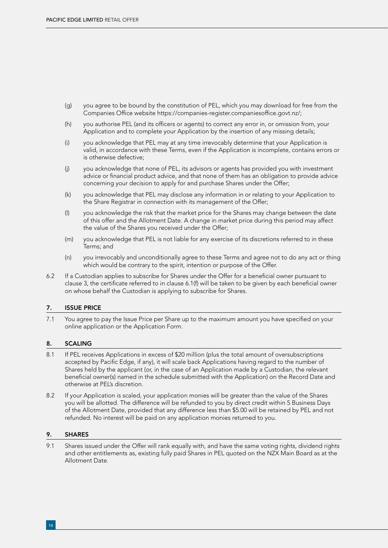- (g) you agree to be bound by the constitution of PEL, which you may download for free from the Companies Office website https://companies-register.companiesoffice.govt.nz/;
- (h) you authorise PEL (and its officers or agents) to correct any error in, or omission from, your Application and to complete your Application by the insertion of any missing details;
- (i) you acknowledge that PEL may at any time irrevocably determine that your Application is valid, in accordance with these Terms, even if the Application is incomplete, contains errors or is otherwise defective;
- (j) you acknowledge that none of PEL, its advisors or agents has provided you with investment advice or financial product advice, and that none of them has an obligation to provide advice concerning your decision to apply for and purchase Shares under the Offer;
- (k) you acknowledge that PEL may disclose any information in or relating to your Application to the Share Registrar in connection with its management of the Offer;
- (l) you acknowledge the risk that the market price for the Shares may change between the date of this offer and the Allotment Date. A change in market price during this period may affect the value of the Shares you received under the Offer;
- (m) you acknowledge that PEL is not liable for any exercise of its discretions referred to in these Terms; and
- (n) you irrevocably and unconditionally agree to these Terms and agree not to do any act or thing which would be contrary to the spirit, intention or purpose of the Offer.
- 6.2 If a Custodian applies to subscribe for Shares under the Offer for a beneficial owner pursuant to clause 3, the certificate referred to in clause 6.1(f) will be taken to be given by each beneficial owner on whose behalf the Custodian is applying to subscribe for Shares.

#### 7. ISSUE PRICE

7.1 You agree to pay the Issue Price per Share up to the maximum amount you have specified on your online application or the Application Form.

#### 8. SCALING

- 8.1 If PEL receives Applications in excess of \$20 million (plus the total amount of oversubscriptions accepted by Pacific Edge, if any), it will scale back Applications having regard to the number of Shares held by the applicant (or, in the case of an Application made by a Custodian, the relevant beneficial owner(s) named in the schedule submitted with the Application) on the Record Date and otherwise at PEL's discretion.
- 8.2 If your Application is scaled, your application monies will be greater than the value of the Shares you will be allotted. The difference will be refunded to you by direct credit within 5 Business Days of the Allotment Date, provided that any difference less than \$5.00 will be retained by PEL and not refunded. No interest will be paid on any application monies returned to you.

#### 9. SHARES

9.1 Shares issued under the Offer will rank equally with, and have the same voting rights, dividend rights and other entitlements as, existing fully paid Shares in PEL quoted on the NZX Main Board as at the Allotment Date.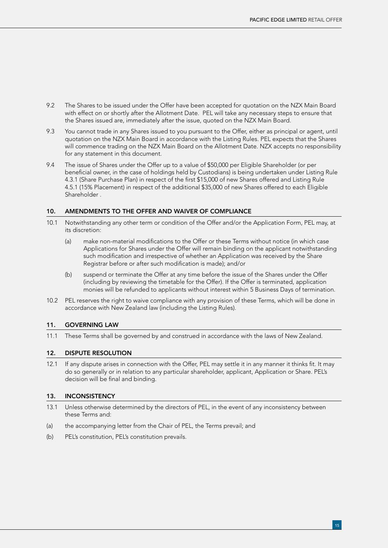- 9.2 The Shares to be issued under the Offer have been accepted for quotation on the NZX Main Board with effect on or shortly after the Allotment Date. PEL will take any necessary steps to ensure that the Shares issued are, immediately after the issue, quoted on the NZX Main Board.
- 9.3 You cannot trade in any Shares issued to you pursuant to the Offer, either as principal or agent, until quotation on the NZX Main Board in accordance with the Listing Rules. PEL expects that the Shares will commence trading on the NZX Main Board on the Allotment Date. NZX accepts no responsibility for any statement in this document.
- 9.4 The issue of Shares under the Offer up to a value of \$50,000 per Eligible Shareholder (or per beneficial owner, in the case of holdings held by Custodians) is being undertaken under Listing Rule 4.3.1 (Share Purchase Plan) in respect of the first \$15,000 of new Shares offered and Listing Rule 4.5.1 (15% Placement) in respect of the additional \$35,000 of new Shares offered to each Eligible Shareholder .

#### 10. AMENDMENTS TO THE OFFER AND WAIVER OF COMPLIANCE

- 10.1 Notwithstanding any other term or condition of the Offer and/or the Application Form, PEL may, at its discretion:
	- (a) make non-material modifications to the Offer or these Terms without notice (in which case Applications for Shares under the Offer will remain binding on the applicant notwithstanding such modification and irrespective of whether an Application was received by the Share Registrar before or after such modification is made); and/or
	- (b) suspend or terminate the Offer at any time before the issue of the Shares under the Offer (including by reviewing the timetable for the Offer). If the Offer is terminated, application monies will be refunded to applicants without interest within 5 Business Days of termination.
- 10.2 PEL reserves the right to waive compliance with any provision of these Terms, which will be done in accordance with New Zealand law (including the Listing Rules).

#### 11. GOVERNING LAW

11.1 These Terms shall be governed by and construed in accordance with the laws of New Zealand.

#### 12. DISPUTE RESOLUTION

12.1 If any dispute arises in connection with the Offer, PEL may settle it in any manner it thinks fit. It may do so generally or in relation to any particular shareholder, applicant, Application or Share. PEL's decision will be final and binding.

#### 13. INCONSISTENCY

- 13.1 Unless otherwise determined by the directors of PEL, in the event of any inconsistency between these Terms and:
- (a) the accompanying letter from the Chair of PEL, the Terms prevail; and
- (b) PEL's constitution, PEL's constitution prevails.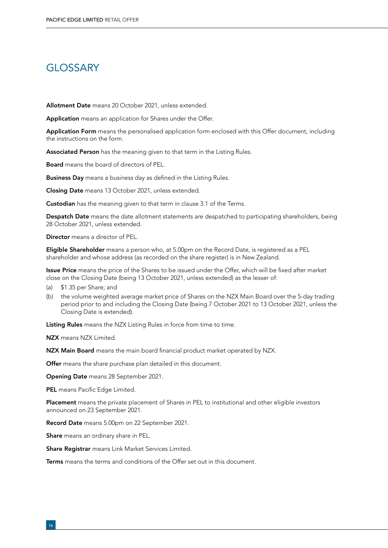## **GLOSSARY**

Allotment Date means 20 October 2021, unless extended.

Application means an application for Shares under the Offer.

Application Form means the personalised application form enclosed with this Offer document, including the instructions on the form.

Associated Person has the meaning given to that term in the Listing Rules.

Board means the board of directors of PEL.

Business Day means a business day as defined in the Listing Rules.

Closing Date means 13 October 2021, unless extended.

**Custodian** has the meaning given to that term in clause 3.1 of the Terms.

Despatch Date means the date allotment statements are despatched to participating shareholders, being 28 October 2021, unless extended.

Director means a director of PEL.

Eligible Shareholder means a person who, at 5.00pm on the Record Date, is registered as a PEL shareholder and whose address (as recorded on the share register) is in New Zealand.

**Issue Price** means the price of the Shares to be issued under the Offer, which will be fixed after market close on the Closing Date (being 13 October 2021, unless extended) as the lesser of:

- (a) \$1.35 per Share; and
- (b) the volume weighted average market price of Shares on the NZX Main Board over the 5-day trading period prior to and including the Closing Date (being 7 October 2021 to 13 October 2021, unless the Closing Date is extended).

Listing Rules means the NZX Listing Rules in force from time to time.

NZX means NZX Limited.

NZX Main Board means the main board financial product market operated by NZX.

Offer means the share purchase plan detailed in this document.

Opening Date means 28 September 2021.

PEL means Pacific Edge Limited.

Placement means the private placement of Shares in PEL to institutional and other eligible investors announced on 23 September 2021.

Record Date means 5.00pm on 22 September 2021.

Share means an ordinary share in PEL.

Share Registrar means Link Market Services Limited.

**Terms** means the terms and conditions of the Offer set out in this document.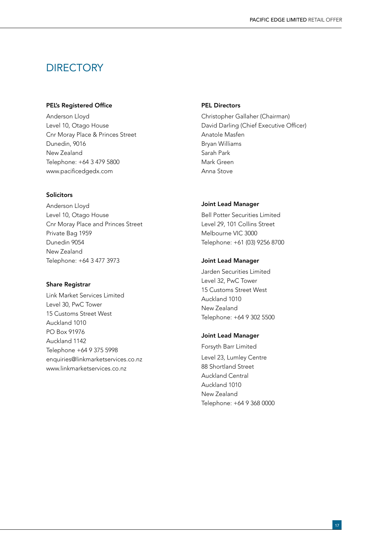### **DIRECTORY**

#### PEL's Registered Office

Anderson Lloyd Level 10, Otago House Cnr Moray Place & Princes Street Dunedin, 9016 New Zealand Telephone: +64 3 479 5800 www.pacificedgedx.com

#### **Solicitors**

Anderson Lloyd Level 10, Otago House Cnr Moray Place and Princes Street Private Bag 1959 Dunedin 9054 New Zealand Telephone: +64 3 477 3973

#### Share Registrar

Link Market Services Limited Level 30, PwC Tower 15 Customs Street West Auckland 1010 PO Box 91976 Auckland 1142 Telephone +64 9 375 5998 enquiries@linkmarketservices.co.nz www.linkmarketservices.co.nz

#### PEL Directors

Christopher Gallaher (Chairman) David Darling (Chief Executive Officer) Anatole Masfen Bryan Williams Sarah Park Mark Green Anna Stove

#### Joint Lead Manager

Bell Potter Securities Limited Level 29, 101 Collins Street Melbourne VIC 3000 Telephone: +61 (03) 9256 8700

#### Joint Lead Manager

Jarden Securities Limited Level 32, PwC Tower 15 Customs Street West Auckland 1010 New Zealand Telephone: +64 9 302 5500

#### Joint Lead Manager

Forsyth Barr Limited Level 23, Lumley Centre 88 Shortland Street Auckland Central Auckland 1010 New Zealand Telephone: +64 9 368 0000